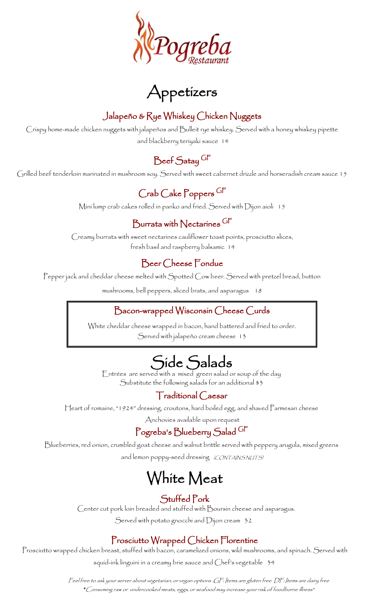

Appetizers

#### Jalapeño & Rye Whiskey Chicken Nuggets

Crispy home-made chicken nuggets with jalapeños and Bulleit rye whiskey. Served with a honey whiskey pipette and blackberry teriyaki sauce 14

### Beef Satay GF

Grilled beef tenderloin marinated in mushroom soy. Served with sweet cabernet drizzle and horseradish cream sauce 15

### Crab Cake Poppers GF

Mini lump crab cakes rolled in panko and fried. Served with Dijon aioli 15

#### Burrata with Nectarines GF

Creamy burrata with sweet nectarines cauliflower toast points, prosciutto slices, fresh basil and raspberry balsamic 14

#### Beer Cheese Fondue

Pepper jack and cheddar cheese melted with Spotted Cow beer. Served with pretzel bread, button

mushrooms, bell peppers, sliced brats, and asparagus 18

#### Bacon-wrapped Wisconsin Cheese Curds

White cheddar cheese wrapped in bacon, hand battered and fried to order. Served with jalapeño cream cheese 13

### $\overline{\phantom{a}}$ Side Salads

Entrées are served with a mixed green salad or soup of the day Substitute the following salads for an additional \$3

#### Traditional Caesar

Heart of romaine, "1924" dressing, croutons, hard boiled egg, and shaved Parmesan cheese

Anchovies available upon request

#### Pogreba's Blueberry Salad GF

Blueberries, red onion, crumbled goat cheese and walnut brittle served with peppery arugula, mixed greens and lemon poppy-seed dressing (CONTAINS NUTS)

# White Meat

#### Stuffed Pork

 Center cut pork loin breaded and stuffed with Boursin cheese and asparagus. Served with potato gnocchi and Dijon cream 32

#### Prosciutto Wrapped Chicken Florentine

Prosciutto wrapped chicken breast, stuffed with bacon, caramelized onions, wild mushrooms, and spinach. Served with

squid-ink linguini in a creamy brie sauce and Chef's vegetable 34

Feel free to ask your server about vegetarian, or vegan options .GF: Items are gluten free DF: Items are dairy free *\**Consuming raw or undercooked meats, eggs, or seafood may increase your risk of foodborne illness\*